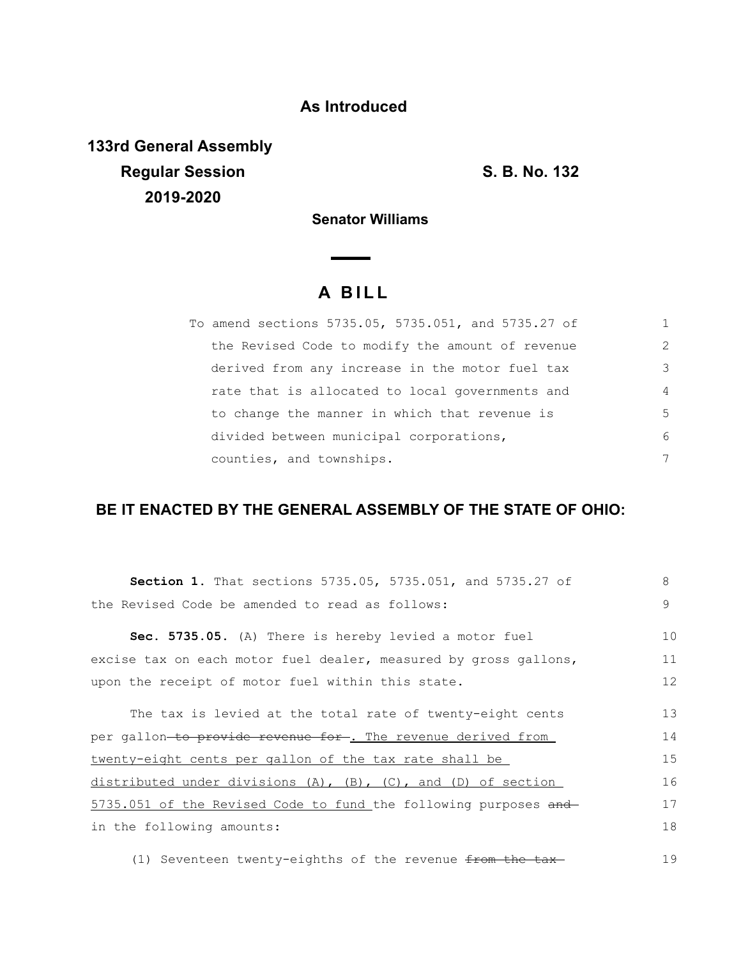### **As Introduced**

**133rd General Assembly Regular Session S. B. No. 132 2019-2020**

**Senator Williams**

# **A B I L L**

| To amend sections 5735.05, 5735.051, and 5735.27 of | 1              |
|-----------------------------------------------------|----------------|
| the Revised Code to modify the amount of revenue    | $\mathcal{L}$  |
| derived from any increase in the motor fuel tax     | 3              |
| rate that is allocated to local governments and     | $\overline{4}$ |
| to change the manner in which that revenue is       | 5              |
| divided between municipal corporations,             | 6              |
| counties, and townships.                            | 7              |

## **BE IT ENACTED BY THE GENERAL ASSEMBLY OF THE STATE OF OHIO:**

| Section 1. That sections 5735.05, 5735.051, and 5735.27 of               | 8  |
|--------------------------------------------------------------------------|----|
| the Revised Code be amended to read as follows:                          | 9  |
| Sec. 5735.05. (A) There is hereby levied a motor fuel                    | 10 |
| excise tax on each motor fuel dealer, measured by gross gallons,         | 11 |
| upon the receipt of motor fuel within this state.                        | 12 |
| The tax is levied at the total rate of twenty-eight cents                | 13 |
| per gallon-to provide revenue for. The revenue derived from              | 14 |
| twenty-eight cents per gallon of the tax rate shall be                   |    |
| distributed under divisions $(A)$ , $(B)$ , $(C)$ , and $(D)$ of section | 16 |
| 5735.051 of the Revised Code to fund the following purposes and          | 17 |
| in the following amounts:                                                | 18 |
| (1) Seventeen twenty-eighths of the revenue from the tax-                | 19 |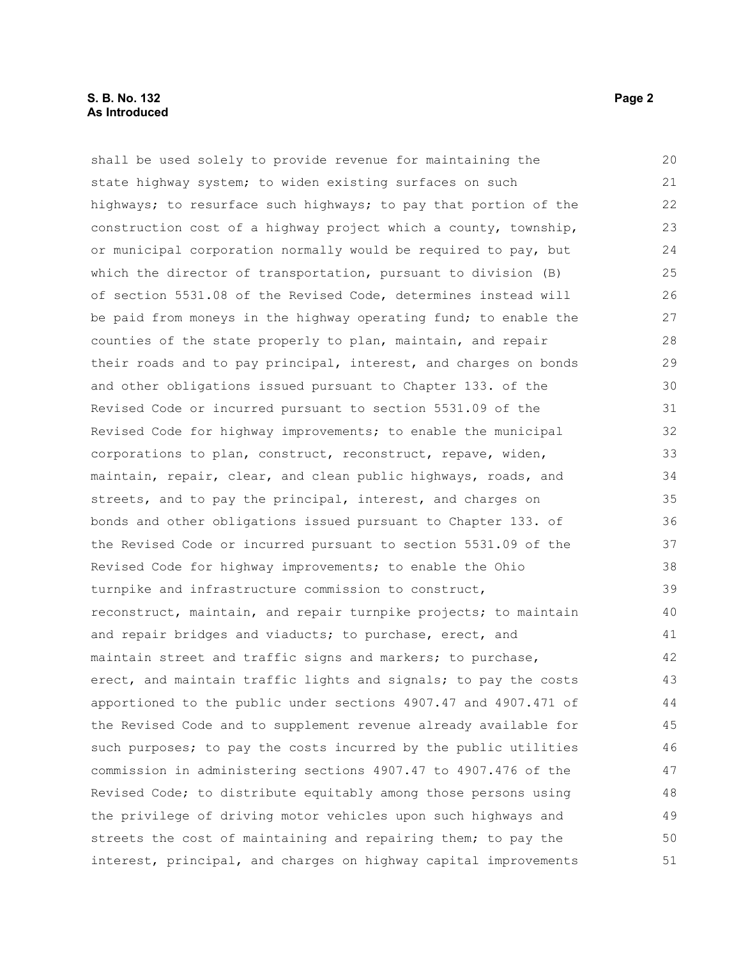shall be used solely to provide revenue for maintaining the state highway system; to widen existing surfaces on such highways; to resurface such highways; to pay that portion of the construction cost of a highway project which a county, township, or municipal corporation normally would be required to pay, but which the director of transportation, pursuant to division (B) of section 5531.08 of the Revised Code, determines instead will be paid from moneys in the highway operating fund; to enable the counties of the state properly to plan, maintain, and repair their roads and to pay principal, interest, and charges on bonds and other obligations issued pursuant to Chapter 133. of the Revised Code or incurred pursuant to section 5531.09 of the Revised Code for highway improvements; to enable the municipal corporations to plan, construct, reconstruct, repave, widen, maintain, repair, clear, and clean public highways, roads, and streets, and to pay the principal, interest, and charges on bonds and other obligations issued pursuant to Chapter 133. of the Revised Code or incurred pursuant to section 5531.09 of the Revised Code for highway improvements; to enable the Ohio turnpike and infrastructure commission to construct, reconstruct, maintain, and repair turnpike projects; to maintain and repair bridges and viaducts; to purchase, erect, and maintain street and traffic signs and markers; to purchase, erect, and maintain traffic lights and signals; to pay the costs apportioned to the public under sections 4907.47 and 4907.471 of the Revised Code and to supplement revenue already available for such purposes; to pay the costs incurred by the public utilities commission in administering sections 4907.47 to 4907.476 of the Revised Code; to distribute equitably among those persons using the privilege of driving motor vehicles upon such highways and streets the cost of maintaining and repairing them; to pay the interest, principal, and charges on highway capital improvements 20 21 22 23 24 25 26 27 28 29 30 31 32 33 34 35 36 37 38 39 40 41 42 43 44 45 46 47 48 49 50 51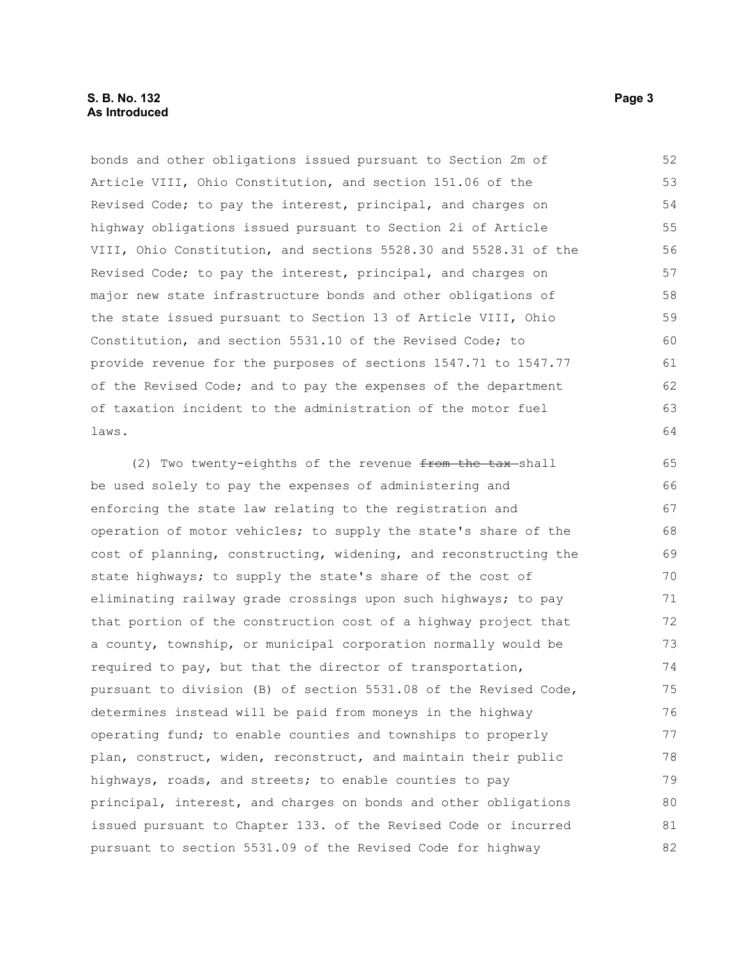bonds and other obligations issued pursuant to Section 2m of Article VIII, Ohio Constitution, and section 151.06 of the Revised Code; to pay the interest, principal, and charges on highway obligations issued pursuant to Section 2i of Article VIII, Ohio Constitution, and sections 5528.30 and 5528.31 of the Revised Code; to pay the interest, principal, and charges on major new state infrastructure bonds and other obligations of the state issued pursuant to Section 13 of Article VIII, Ohio Constitution, and section 5531.10 of the Revised Code; to provide revenue for the purposes of sections 1547.71 to 1547.77 of the Revised Code; and to pay the expenses of the department of taxation incident to the administration of the motor fuel laws. 52 53 54 55 56 57 58 59 60 61 62 63 64

(2) Two twenty-eighths of the revenue from the tax-shall be used solely to pay the expenses of administering and enforcing the state law relating to the registration and operation of motor vehicles; to supply the state's share of the cost of planning, constructing, widening, and reconstructing the state highways; to supply the state's share of the cost of eliminating railway grade crossings upon such highways; to pay that portion of the construction cost of a highway project that a county, township, or municipal corporation normally would be required to pay, but that the director of transportation, pursuant to division (B) of section 5531.08 of the Revised Code, determines instead will be paid from moneys in the highway operating fund; to enable counties and townships to properly plan, construct, widen, reconstruct, and maintain their public highways, roads, and streets; to enable counties to pay principal, interest, and charges on bonds and other obligations issued pursuant to Chapter 133. of the Revised Code or incurred pursuant to section 5531.09 of the Revised Code for highway 65 66 67 68 69 70 71 72 73 74 75 76 77 78 79 80 81 82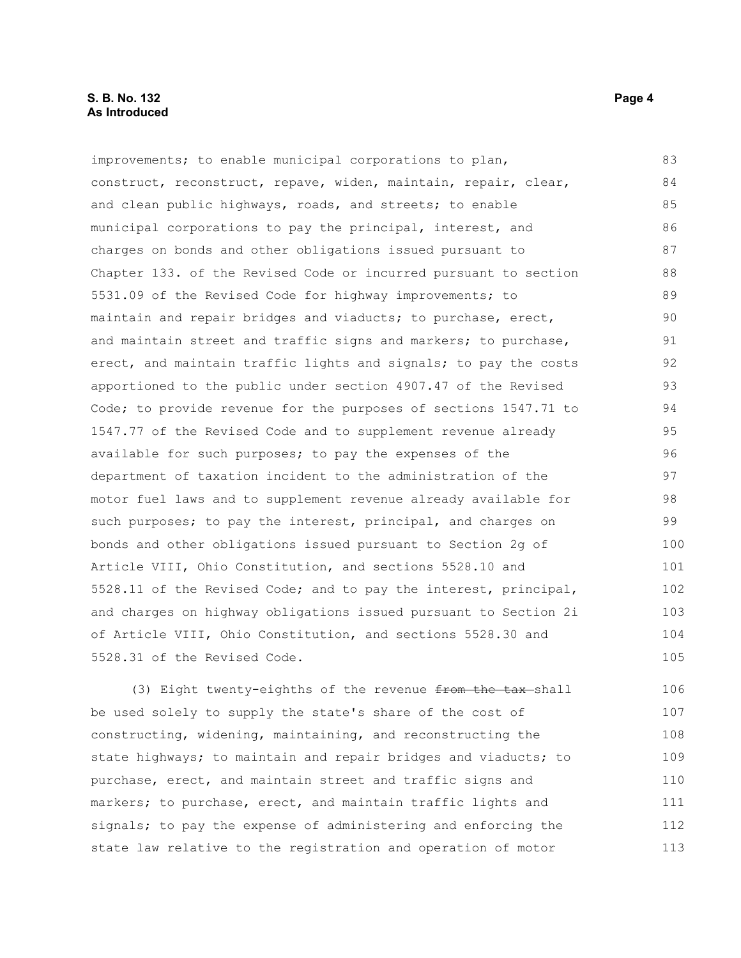improvements; to enable municipal corporations to plan, construct, reconstruct, repave, widen, maintain, repair, clear, and clean public highways, roads, and streets; to enable municipal corporations to pay the principal, interest, and charges on bonds and other obligations issued pursuant to Chapter 133. of the Revised Code or incurred pursuant to section 5531.09 of the Revised Code for highway improvements; to maintain and repair bridges and viaducts; to purchase, erect, and maintain street and traffic signs and markers; to purchase, erect, and maintain traffic lights and signals; to pay the costs apportioned to the public under section 4907.47 of the Revised Code; to provide revenue for the purposes of sections 1547.71 to 1547.77 of the Revised Code and to supplement revenue already available for such purposes; to pay the expenses of the department of taxation incident to the administration of the motor fuel laws and to supplement revenue already available for such purposes; to pay the interest, principal, and charges on bonds and other obligations issued pursuant to Section 2g of Article VIII, Ohio Constitution, and sections 5528.10 and 5528.11 of the Revised Code; and to pay the interest, principal, and charges on highway obligations issued pursuant to Section 2i of Article VIII, Ohio Constitution, and sections 5528.30 and 5528.31 of the Revised Code. 83 84 85 86 87 88 89 90 91 92 93 94 95 96 97 98 99 100 101 102 103 104 105

(3) Eight twenty-eighths of the revenue from the tax-shall be used solely to supply the state's share of the cost of constructing, widening, maintaining, and reconstructing the state highways; to maintain and repair bridges and viaducts; to purchase, erect, and maintain street and traffic signs and markers; to purchase, erect, and maintain traffic lights and signals; to pay the expense of administering and enforcing the state law relative to the registration and operation of motor 106 107 108 109 110 111 112 113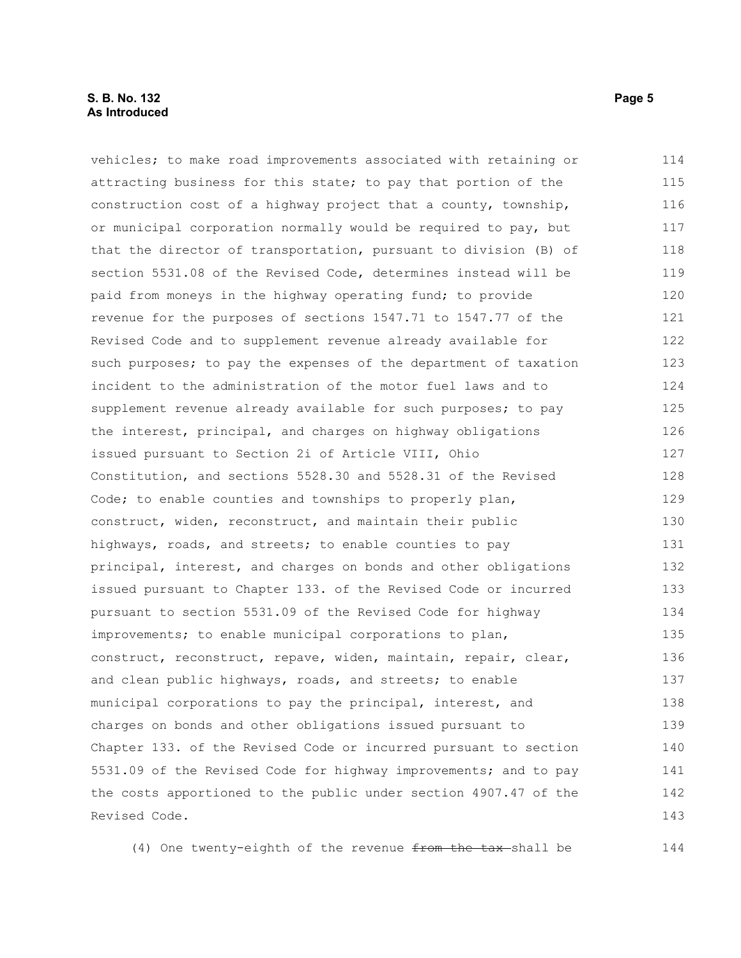#### **S. B. No. 132 Page 5 As Introduced**

vehicles; to make road improvements associated with retaining or attracting business for this state; to pay that portion of the construction cost of a highway project that a county, township, or municipal corporation normally would be required to pay, but that the director of transportation, pursuant to division (B) of section 5531.08 of the Revised Code, determines instead will be paid from moneys in the highway operating fund; to provide revenue for the purposes of sections 1547.71 to 1547.77 of the Revised Code and to supplement revenue already available for such purposes; to pay the expenses of the department of taxation incident to the administration of the motor fuel laws and to supplement revenue already available for such purposes; to pay the interest, principal, and charges on highway obligations issued pursuant to Section 2i of Article VIII, Ohio Constitution, and sections 5528.30 and 5528.31 of the Revised Code; to enable counties and townships to properly plan, construct, widen, reconstruct, and maintain their public highways, roads, and streets; to enable counties to pay principal, interest, and charges on bonds and other obligations issued pursuant to Chapter 133. of the Revised Code or incurred pursuant to section 5531.09 of the Revised Code for highway improvements; to enable municipal corporations to plan, construct, reconstruct, repave, widen, maintain, repair, clear, and clean public highways, roads, and streets; to enable municipal corporations to pay the principal, interest, and charges on bonds and other obligations issued pursuant to Chapter 133. of the Revised Code or incurred pursuant to section 5531.09 of the Revised Code for highway improvements; and to pay the costs apportioned to the public under section 4907.47 of the Revised Code. 114 115 116 117 118 119 120 121 122 123 124 125 126 127 128 129 130 131 132 133 134 135 136 137 138 139 140 141 142 143

(4) One twenty-eighth of the revenue from the tax-shall be 144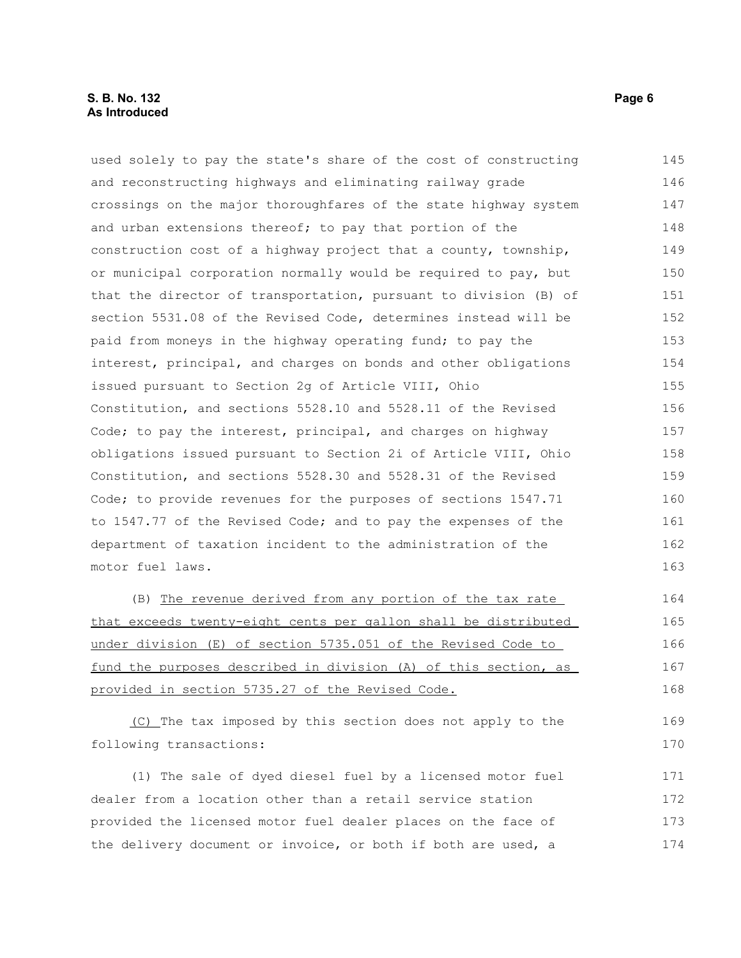#### **S. B. No. 132 Page 6 As Introduced**

used solely to pay the state's share of the cost of constructing and reconstructing highways and eliminating railway grade crossings on the major thoroughfares of the state highway system and urban extensions thereof; to pay that portion of the construction cost of a highway project that a county, township, or municipal corporation normally would be required to pay, but that the director of transportation, pursuant to division (B) of section 5531.08 of the Revised Code, determines instead will be paid from moneys in the highway operating fund; to pay the interest, principal, and charges on bonds and other obligations issued pursuant to Section 2g of Article VIII, Ohio Constitution, and sections 5528.10 and 5528.11 of the Revised Code; to pay the interest, principal, and charges on highway obligations issued pursuant to Section 2i of Article VIII, Ohio Constitution, and sections 5528.30 and 5528.31 of the Revised Code; to provide revenues for the purposes of sections 1547.71 to 1547.77 of the Revised Code; and to pay the expenses of the department of taxation incident to the administration of the motor fuel laws. (B) The revenue derived from any portion of the tax rate that exceeds twenty-eight cents per gallon shall be distributed under division (E) of section 5735.051 of the Revised Code to fund the purposes described in division (A) of this section, as provided in section 5735.27 of the Revised Code. (C) The tax imposed by this section does not apply to the following transactions: (1) The sale of dyed diesel fuel by a licensed motor fuel dealer from a location other than a retail service station provided the licensed motor fuel dealer places on the face of the delivery document or invoice, or both if both are used, a 145 146 147 148 149 150 151 152 153 154 155 156 157 158 159 160 161 162 163 164 165 166 167 168 169 170 171 172 173 174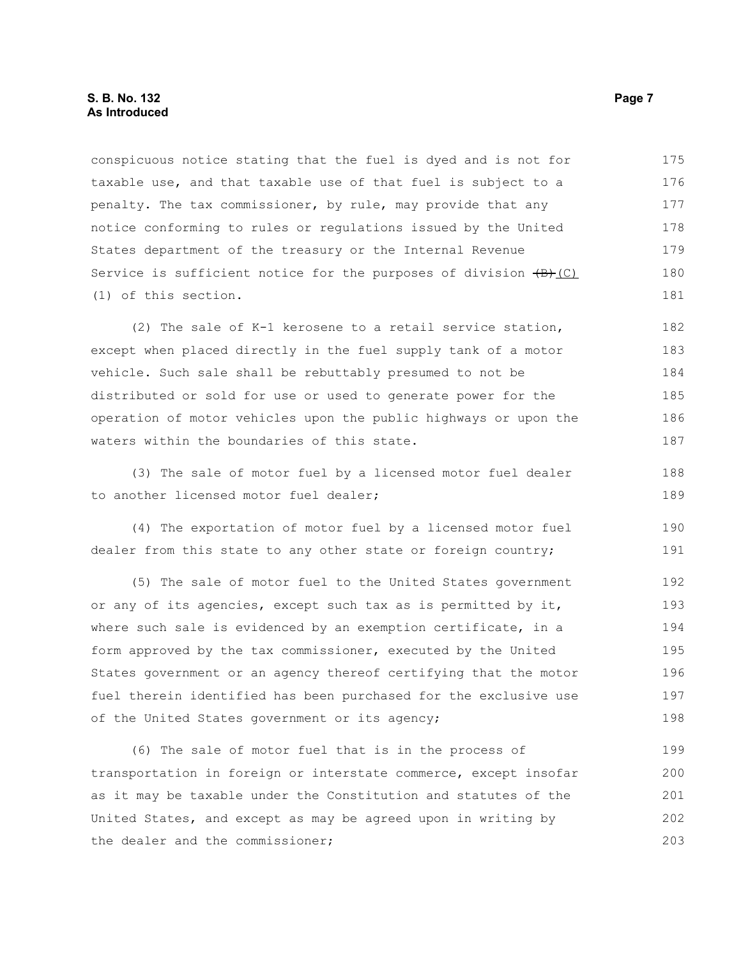conspicuous notice stating that the fuel is dyed and is not for taxable use, and that taxable use of that fuel is subject to a penalty. The tax commissioner, by rule, may provide that any notice conforming to rules or regulations issued by the United States department of the treasury or the Internal Revenue Service is sufficient notice for the purposes of division  $\overline{(B) (C)}$ (1) of this section. 175 176 177 178 179 180 181

(2) The sale of K-1 kerosene to a retail service station, except when placed directly in the fuel supply tank of a motor vehicle. Such sale shall be rebuttably presumed to not be distributed or sold for use or used to generate power for the operation of motor vehicles upon the public highways or upon the waters within the boundaries of this state. 182 183 184 185 186 187

(3) The sale of motor fuel by a licensed motor fuel dealer to another licensed motor fuel dealer;

(4) The exportation of motor fuel by a licensed motor fuel dealer from this state to any other state or foreign country;

(5) The sale of motor fuel to the United States government or any of its agencies, except such tax as is permitted by it, where such sale is evidenced by an exemption certificate, in a form approved by the tax commissioner, executed by the United States government or an agency thereof certifying that the motor fuel therein identified has been purchased for the exclusive use of the United States government or its agency; 192 193 194 195 196 197 198

(6) The sale of motor fuel that is in the process of transportation in foreign or interstate commerce, except insofar as it may be taxable under the Constitution and statutes of the United States, and except as may be agreed upon in writing by the dealer and the commissioner; 199 200 201 202 203

188 189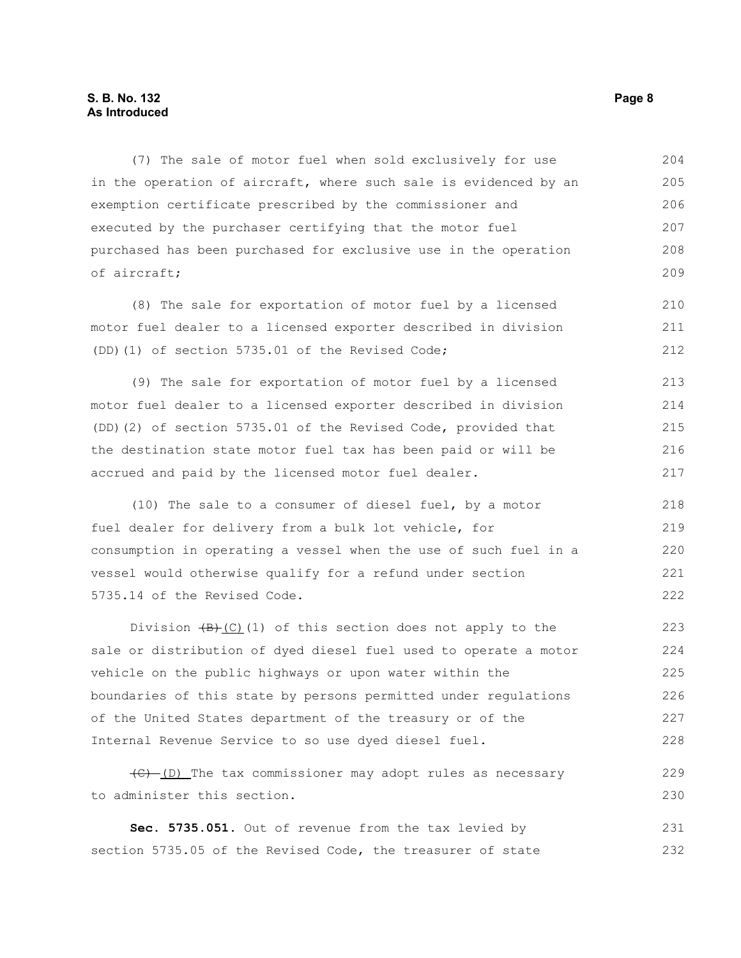#### **S. B. No. 132 Page 8 As Introduced**

(7) The sale of motor fuel when sold exclusively for use in the operation of aircraft, where such sale is evidenced by an exemption certificate prescribed by the commissioner and executed by the purchaser certifying that the motor fuel purchased has been purchased for exclusive use in the operation of aircraft; 204 205 206 207 208 209

(8) The sale for exportation of motor fuel by a licensed motor fuel dealer to a licensed exporter described in division (DD)(1) of section 5735.01 of the Revised Code; 210 211 212

(9) The sale for exportation of motor fuel by a licensed motor fuel dealer to a licensed exporter described in division (DD)(2) of section 5735.01 of the Revised Code, provided that the destination state motor fuel tax has been paid or will be accrued and paid by the licensed motor fuel dealer. 213 214 215 216 217

(10) The sale to a consumer of diesel fuel, by a motor fuel dealer for delivery from a bulk lot vehicle, for consumption in operating a vessel when the use of such fuel in a vessel would otherwise qualify for a refund under section 5735.14 of the Revised Code. 218 219 220 221 222

Division  $\left(\frac{B}{C}\right)(1)$  of this section does not apply to the sale or distribution of dyed diesel fuel used to operate a motor vehicle on the public highways or upon water within the boundaries of this state by persons permitted under regulations of the United States department of the treasury or of the Internal Revenue Service to so use dyed diesel fuel. 223 224 225 226 227 228

 $(\theta)$  (D) The tax commissioner may adopt rules as necessary to administer this section. 229 230

**Sec. 5735.051.** Out of revenue from the tax levied by section 5735.05 of the Revised Code, the treasurer of state 231 232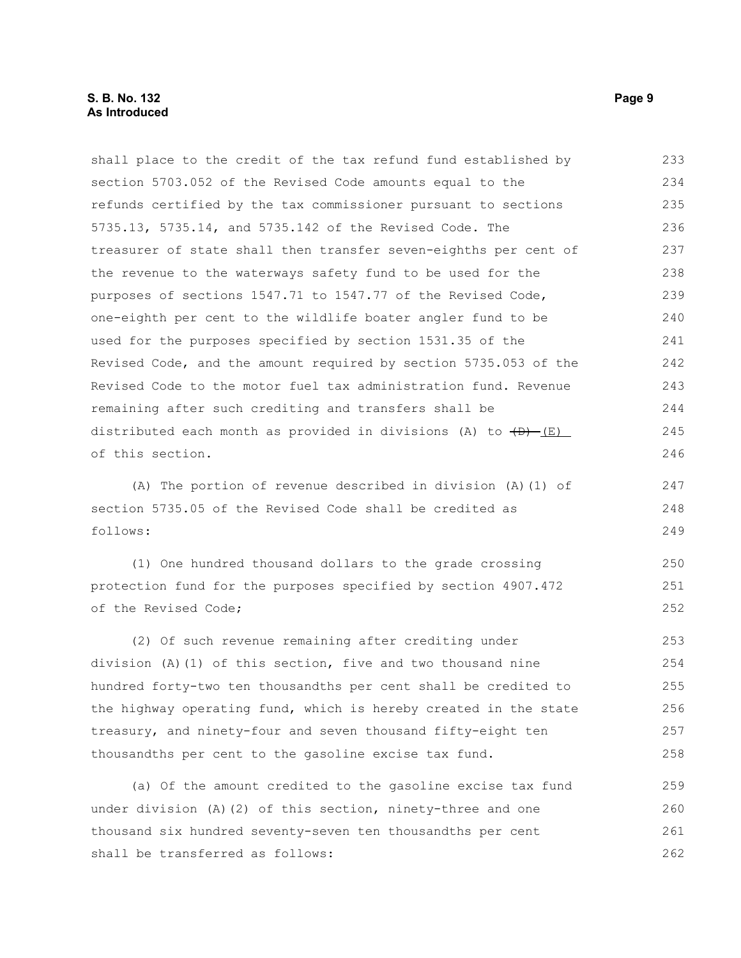shall place to the credit of the tax refund fund established by section 5703.052 of the Revised Code amounts equal to the refunds certified by the tax commissioner pursuant to sections 5735.13, 5735.14, and 5735.142 of the Revised Code. The treasurer of state shall then transfer seven-eighths per cent of the revenue to the waterways safety fund to be used for the purposes of sections 1547.71 to 1547.77 of the Revised Code, one-eighth per cent to the wildlife boater angler fund to be used for the purposes specified by section 1531.35 of the Revised Code, and the amount required by section 5735.053 of the Revised Code to the motor fuel tax administration fund. Revenue remaining after such crediting and transfers shall be distributed each month as provided in divisions (A) to  $\overline{+D}$  (E) of this section. (A) The portion of revenue described in division (A)(1) of section 5735.05 of the Revised Code shall be credited as follows: (1) One hundred thousand dollars to the grade crossing protection fund for the purposes specified by section 4907.472 of the Revised Code; (2) Of such revenue remaining after crediting under division (A)(1) of this section, five and two thousand nine hundred forty-two ten thousandths per cent shall be credited to the highway operating fund, which is hereby created in the state treasury, and ninety-four and seven thousand fifty-eight ten thousandths per cent to the gasoline excise tax fund. (a) Of the amount credited to the gasoline excise tax fund under division (A)(2) of this section, ninety-three and one thousand six hundred seventy-seven ten thousandths per cent shall be transferred as follows: 233 234 235 236 237 238 239 240 241 242 243 244 245 246 247 248 249 250 251 252 253 254 255 256 257 258 259 260 261 262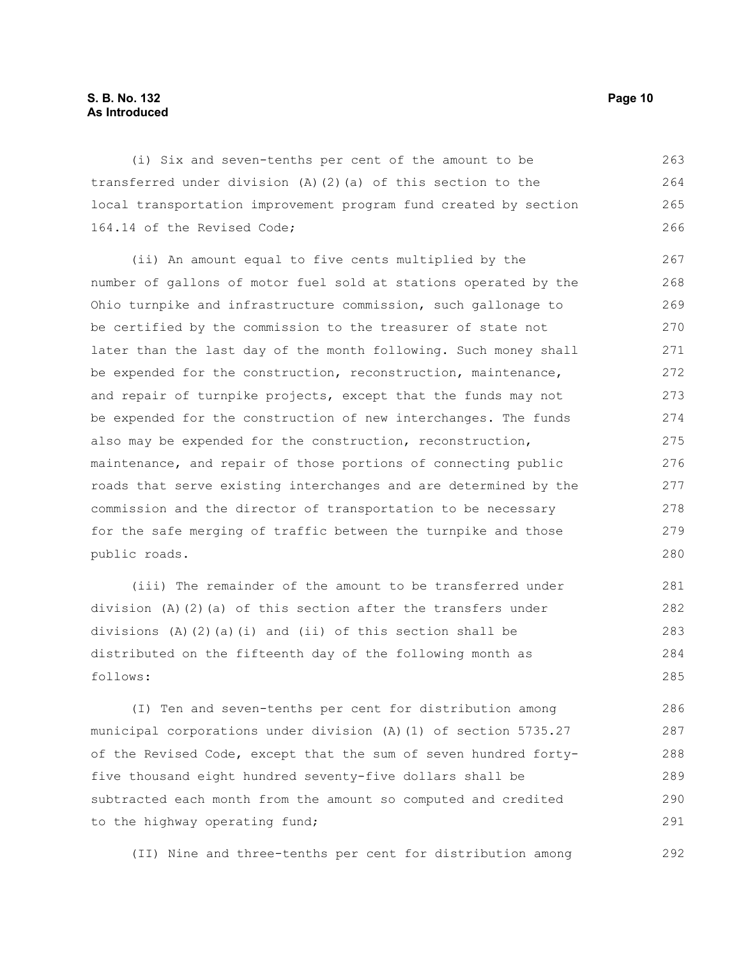#### **S. B. No. 132 Page 10 As Introduced**

(i) Six and seven-tenths per cent of the amount to be transferred under division (A)(2)(a) of this section to the local transportation improvement program fund created by section 164.14 of the Revised Code; 263 264 265 266

(ii) An amount equal to five cents multiplied by the number of gallons of motor fuel sold at stations operated by the Ohio turnpike and infrastructure commission, such gallonage to be certified by the commission to the treasurer of state not later than the last day of the month following. Such money shall be expended for the construction, reconstruction, maintenance, and repair of turnpike projects, except that the funds may not be expended for the construction of new interchanges. The funds also may be expended for the construction, reconstruction, maintenance, and repair of those portions of connecting public roads that serve existing interchanges and are determined by the commission and the director of transportation to be necessary for the safe merging of traffic between the turnpike and those public roads. 267 268 269 270 271 272 273 274 275 276 277 278 279 280

(iii) The remainder of the amount to be transferred under division (A)(2)(a) of this section after the transfers under divisions (A)(2)(a)(i) and (ii) of this section shall be distributed on the fifteenth day of the following month as follows: 281 282 283 284 285

(I) Ten and seven-tenths per cent for distribution among municipal corporations under division (A)(1) of section 5735.27 of the Revised Code, except that the sum of seven hundred fortyfive thousand eight hundred seventy-five dollars shall be subtracted each month from the amount so computed and credited to the highway operating fund; 286 287 288 289 290 291

(II) Nine and three-tenths per cent for distribution among 292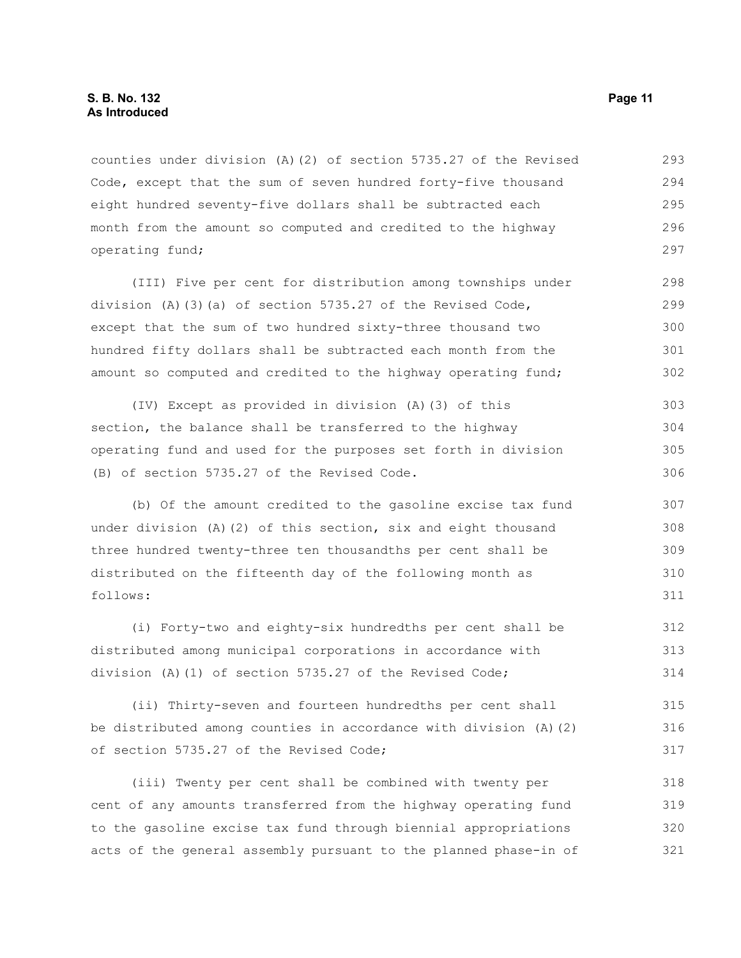counties under division (A)(2) of section 5735.27 of the Revised Code, except that the sum of seven hundred forty-five thousand eight hundred seventy-five dollars shall be subtracted each month from the amount so computed and credited to the highway operating fund; 293 294 295 296 297

(III) Five per cent for distribution among townships under division (A)(3)(a) of section 5735.27 of the Revised Code, except that the sum of two hundred sixty-three thousand two hundred fifty dollars shall be subtracted each month from the amount so computed and credited to the highway operating fund; 298 299 300 301 302

(IV) Except as provided in division (A)(3) of this section, the balance shall be transferred to the highway operating fund and used for the purposes set forth in division (B) of section 5735.27 of the Revised Code. 303 304 305 306

(b) Of the amount credited to the gasoline excise tax fund under division (A)(2) of this section, six and eight thousand three hundred twenty-three ten thousandths per cent shall be distributed on the fifteenth day of the following month as follows:

(i) Forty-two and eighty-six hundredths per cent shall be distributed among municipal corporations in accordance with division (A)(1) of section 5735.27 of the Revised Code; 312 313 314

(ii) Thirty-seven and fourteen hundredths per cent shall be distributed among counties in accordance with division (A)(2) of section 5735.27 of the Revised Code; 315 316 317

(iii) Twenty per cent shall be combined with twenty per cent of any amounts transferred from the highway operating fund to the gasoline excise tax fund through biennial appropriations acts of the general assembly pursuant to the planned phase-in of 318 319 320 321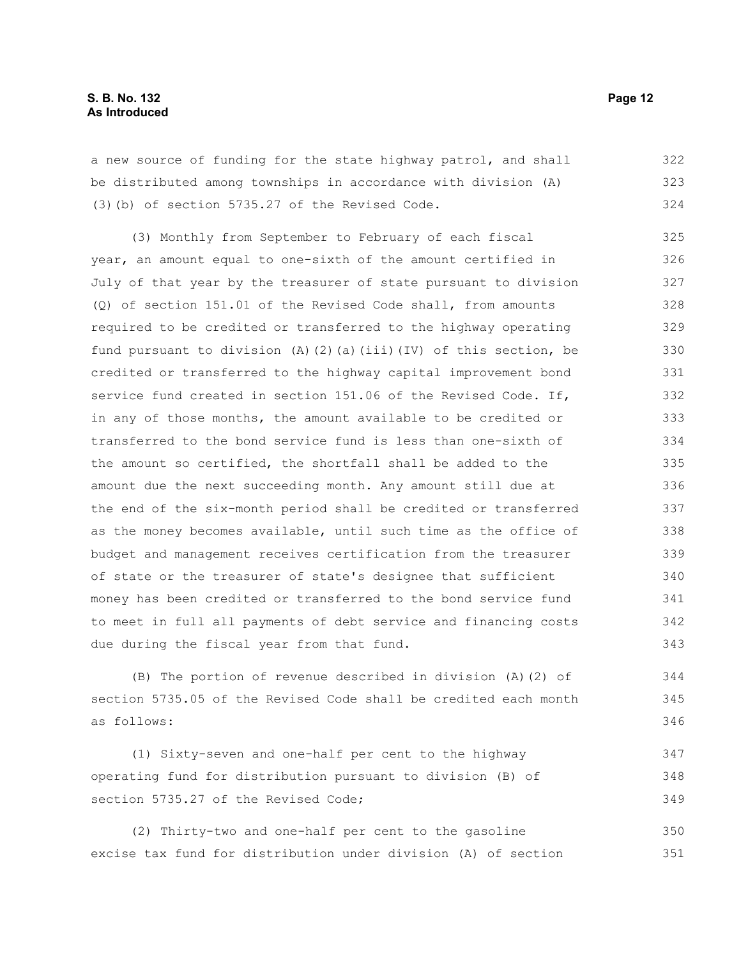a new source of funding for the state highway patrol, and shall be distributed among townships in accordance with division (A) (3)(b) of section 5735.27 of the Revised Code. 322 323 324

(3) Monthly from September to February of each fiscal year, an amount equal to one-sixth of the amount certified in July of that year by the treasurer of state pursuant to division (Q) of section 151.01 of the Revised Code shall, from amounts required to be credited or transferred to the highway operating fund pursuant to division (A)(2)(a)(iii)(IV) of this section, be credited or transferred to the highway capital improvement bond service fund created in section 151.06 of the Revised Code. If, in any of those months, the amount available to be credited or transferred to the bond service fund is less than one-sixth of the amount so certified, the shortfall shall be added to the amount due the next succeeding month. Any amount still due at the end of the six-month period shall be credited or transferred as the money becomes available, until such time as the office of budget and management receives certification from the treasurer of state or the treasurer of state's designee that sufficient money has been credited or transferred to the bond service fund to meet in full all payments of debt service and financing costs due during the fiscal year from that fund. 325 326 327 328 329 330 331 332 333 334 335 336 337 338 339 340 341 342 343

(B) The portion of revenue described in division (A)(2) of section 5735.05 of the Revised Code shall be credited each month as follows: 344 345 346

(1) Sixty-seven and one-half per cent to the highway operating fund for distribution pursuant to division (B) of section 5735.27 of the Revised Code; 347 348 349

(2) Thirty-two and one-half per cent to the gasoline excise tax fund for distribution under division (A) of section 350 351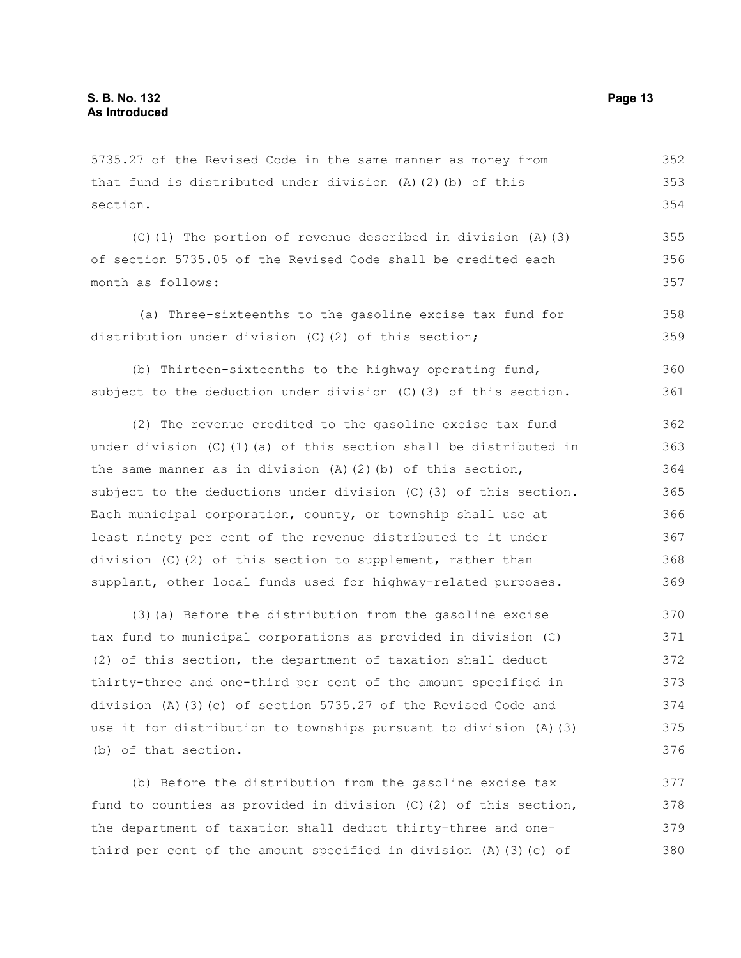(b) of that section.

5735.27 of the Revised Code in the same manner as money from that fund is distributed under division (A)(2)(b) of this section. (C)(1) The portion of revenue described in division (A)(3) of section 5735.05 of the Revised Code shall be credited each month as follows: (a) Three-sixteenths to the gasoline excise tax fund for distribution under division (C)(2) of this section; (b) Thirteen-sixteenths to the highway operating fund, subject to the deduction under division (C)(3) of this section. (2) The revenue credited to the gasoline excise tax fund under division (C)(1)(a) of this section shall be distributed in the same manner as in division  $(A)(2)(b)$  of this section, subject to the deductions under division (C)(3) of this section. Each municipal corporation, county, or township shall use at least ninety per cent of the revenue distributed to it under division (C)(2) of this section to supplement, rather than supplant, other local funds used for highway-related purposes. (3)(a) Before the distribution from the gasoline excise tax fund to municipal corporations as provided in division (C) (2) of this section, the department of taxation shall deduct thirty-three and one-third per cent of the amount specified in division (A)(3)(c) of section 5735.27 of the Revised Code and use it for distribution to townships pursuant to division (A)(3) 352 353 354 355 356 357 358 359 360 361 362 363 364 365 366 367 368 369 370 371 372 373 374 375

(b) Before the distribution from the gasoline excise tax fund to counties as provided in division (C)(2) of this section, the department of taxation shall deduct thirty-three and onethird per cent of the amount specified in division (A)(3)(c) of 377 378 379 380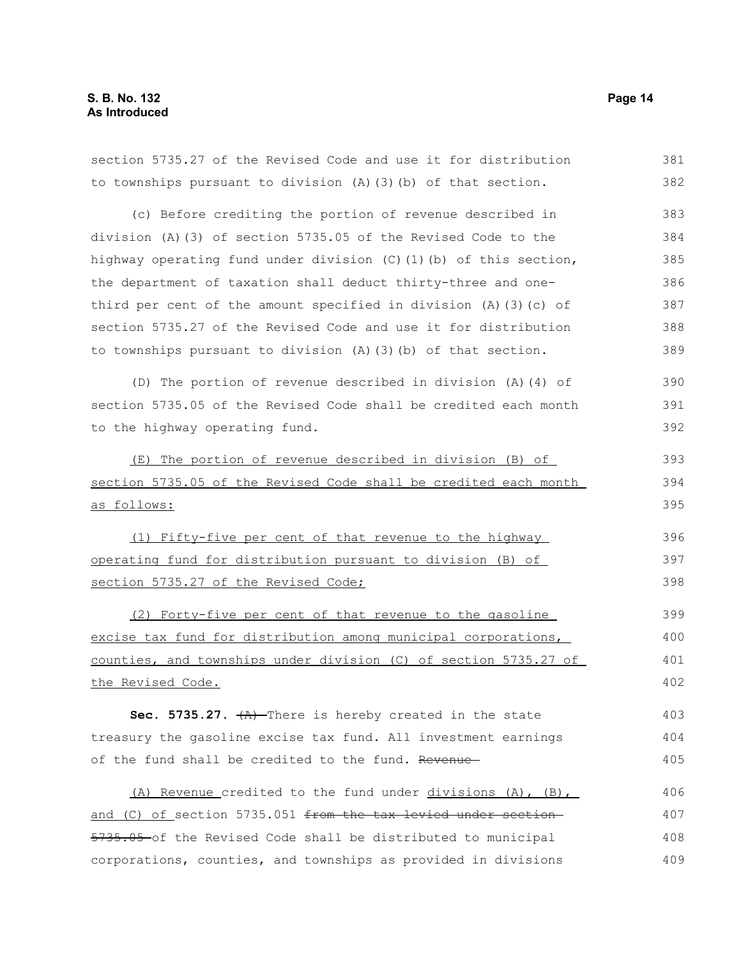| section 5735.27 of the Revised Code and use it for distribution         | 381 |
|-------------------------------------------------------------------------|-----|
| to townships pursuant to division (A)(3)(b) of that section.            | 382 |
| (c) Before crediting the portion of revenue described in                | 383 |
| division (A) (3) of section 5735.05 of the Revised Code to the          | 384 |
| highway operating fund under division $(C)$ (1) (b) of this section,    | 385 |
| the department of taxation shall deduct thirty-three and one-           | 386 |
| third per cent of the amount specified in division $(A)$ $(3)$ $(c)$ of | 387 |
| section 5735.27 of the Revised Code and use it for distribution         | 388 |
| to townships pursuant to division (A)(3)(b) of that section.            | 389 |
| (D) The portion of revenue described in division (A) (4) of             | 390 |
| section 5735.05 of the Revised Code shall be credited each month        | 391 |
| to the highway operating fund.                                          | 392 |
| (E) The portion of revenue described in division (B) of                 | 393 |
| section 5735.05 of the Revised Code shall be credited each month        | 394 |
| as follows:                                                             | 395 |
| (1) Fifty-five per cent of that revenue to the highway                  | 396 |
| operating fund for distribution pursuant to division (B) of             |     |
| section 5735.27 of the Revised Code;                                    | 398 |
| (2) Forty-five per cent of that revenue to the gasoline                 | 399 |
| excise tax fund for distribution among municipal corporations,          | 400 |
| counties, and townships under division (C) of section 5735.27 of        | 401 |
| the Revised Code.                                                       | 402 |
| Sec. 5735.27. $\{A\}$ -There is hereby created in the state             | 403 |
| treasury the gasoline excise tax fund. All investment earnings          | 404 |
| of the fund shall be credited to the fund. Revenue-                     | 405 |
| $(A)$ Revenue credited to the fund under divisions $(A)$ , $(B)$ ,      | 406 |
| and (C) of section 5735.051 from the tax levied under section           | 407 |
| 5735.05 of the Revised Code shall be distributed to municipal           | 408 |
| corporations, counties, and townships as provided in divisions          | 409 |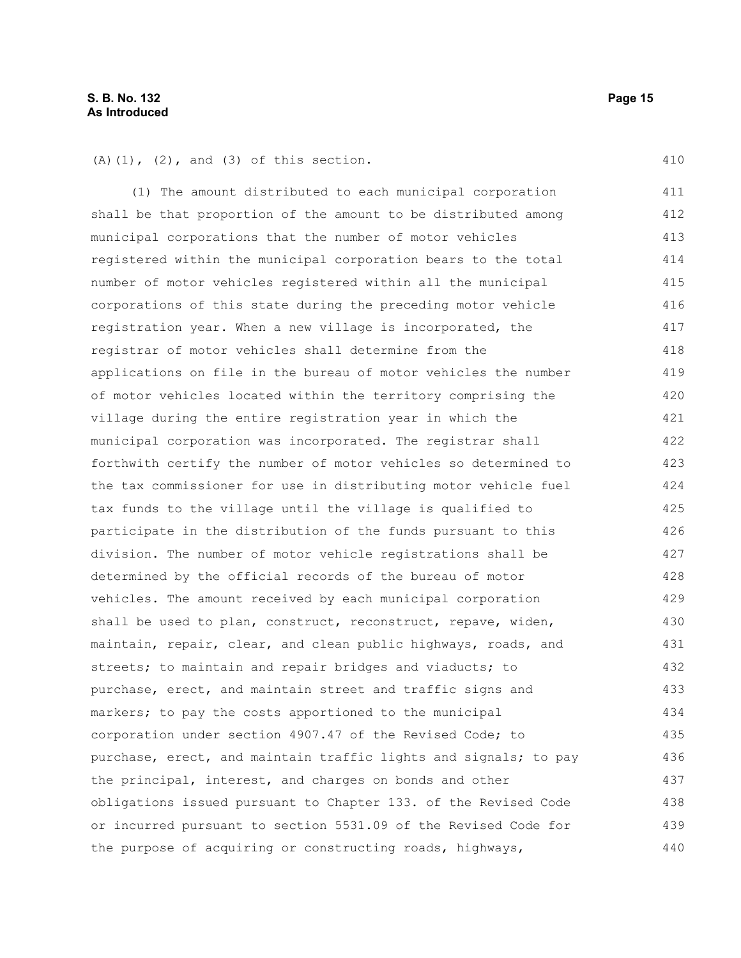410

 $(A)$  $(1)$ ,  $(2)$ , and  $(3)$  of this section.

(1) The amount distributed to each municipal corporation shall be that proportion of the amount to be distributed among municipal corporations that the number of motor vehicles registered within the municipal corporation bears to the total number of motor vehicles registered within all the municipal corporations of this state during the preceding motor vehicle registration year. When a new village is incorporated, the registrar of motor vehicles shall determine from the applications on file in the bureau of motor vehicles the number of motor vehicles located within the territory comprising the village during the entire registration year in which the municipal corporation was incorporated. The registrar shall forthwith certify the number of motor vehicles so determined to the tax commissioner for use in distributing motor vehicle fuel tax funds to the village until the village is qualified to participate in the distribution of the funds pursuant to this division. The number of motor vehicle registrations shall be determined by the official records of the bureau of motor vehicles. The amount received by each municipal corporation shall be used to plan, construct, reconstruct, repave, widen, maintain, repair, clear, and clean public highways, roads, and streets; to maintain and repair bridges and viaducts; to purchase, erect, and maintain street and traffic signs and markers; to pay the costs apportioned to the municipal corporation under section 4907.47 of the Revised Code; to purchase, erect, and maintain traffic lights and signals; to pay the principal, interest, and charges on bonds and other obligations issued pursuant to Chapter 133. of the Revised Code or incurred pursuant to section 5531.09 of the Revised Code for the purpose of acquiring or constructing roads, highways, 411 412 413 414 415 416 417 418 419 420 421 422 423 424 425 426 427 428 429 430 431 432 433 434 435 436 437 438 439 440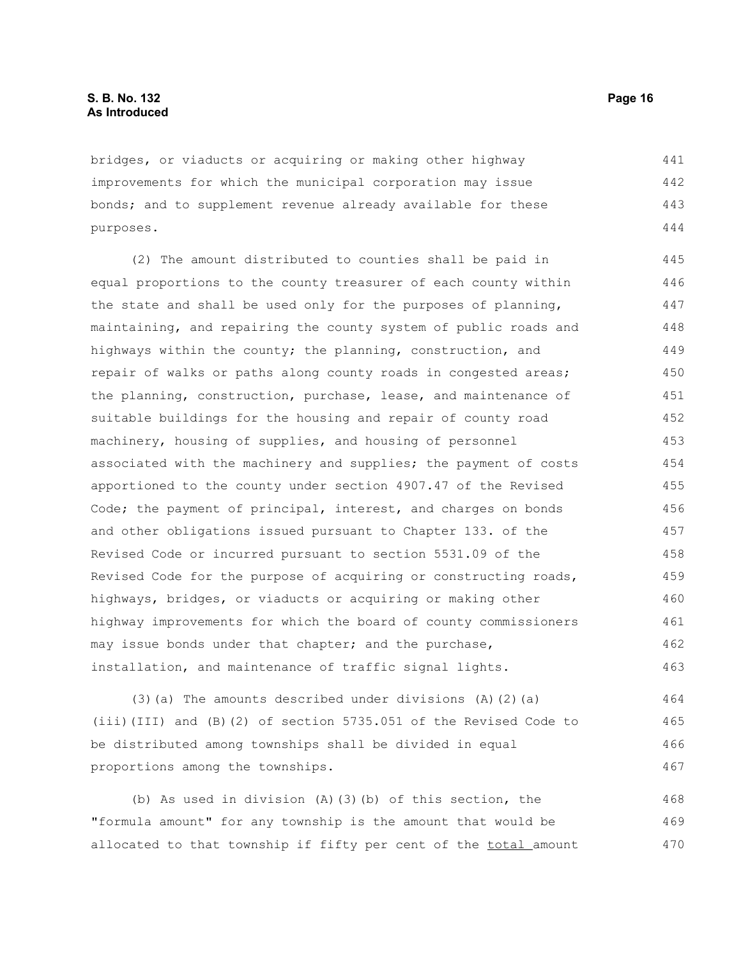bridges, or viaducts or acquiring or making other highway improvements for which the municipal corporation may issue bonds; and to supplement revenue already available for these purposes. 441 442 443 444

(2) The amount distributed to counties shall be paid in equal proportions to the county treasurer of each county within the state and shall be used only for the purposes of planning, maintaining, and repairing the county system of public roads and highways within the county; the planning, construction, and repair of walks or paths along county roads in congested areas; the planning, construction, purchase, lease, and maintenance of suitable buildings for the housing and repair of county road machinery, housing of supplies, and housing of personnel associated with the machinery and supplies; the payment of costs apportioned to the county under section 4907.47 of the Revised Code; the payment of principal, interest, and charges on bonds and other obligations issued pursuant to Chapter 133. of the Revised Code or incurred pursuant to section 5531.09 of the Revised Code for the purpose of acquiring or constructing roads, highways, bridges, or viaducts or acquiring or making other highway improvements for which the board of county commissioners may issue bonds under that chapter; and the purchase, installation, and maintenance of traffic signal lights. 445 446 447 448 449 450 451 452 453 454 455 456 457 458 459 460 461 462 463

(3)(a) The amounts described under divisions (A)(2)(a) (iii)(III) and (B)(2) of section 5735.051 of the Revised Code to be distributed among townships shall be divided in equal proportions among the townships. 464 465 466 467

(b) As used in division (A)(3)(b) of this section, the "formula amount" for any township is the amount that would be allocated to that township if fifty per cent of the total amount 468 469 470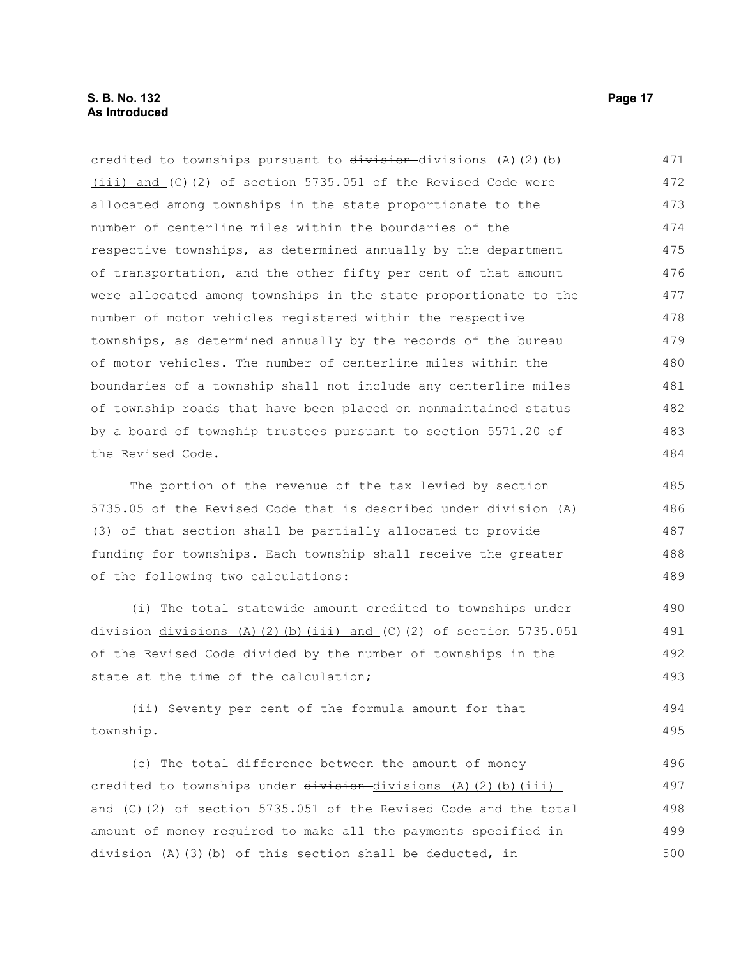#### **S. B. No. 132 Page 17 As Introduced**

credited to townships pursuant to  $\frac{division\_divisions}{A}$  (A)(2)(b) (iii) and (C)(2) of section 5735.051 of the Revised Code were allocated among townships in the state proportionate to the number of centerline miles within the boundaries of the respective townships, as determined annually by the department of transportation, and the other fifty per cent of that amount were allocated among townships in the state proportionate to the number of motor vehicles registered within the respective townships, as determined annually by the records of the bureau of motor vehicles. The number of centerline miles within the boundaries of a township shall not include any centerline miles of township roads that have been placed on nonmaintained status by a board of township trustees pursuant to section 5571.20 of the Revised Code. 471 472 473 474 475 476 477 478 479 480 481 482 483 484

The portion of the revenue of the tax levied by section 5735.05 of the Revised Code that is described under division (A) (3) of that section shall be partially allocated to provide funding for townships. Each township shall receive the greater of the following two calculations: 485 486 487 488

(i) The total statewide amount credited to townships under  $\frac{division-divisions}{A}(2)(b)(iii)$  and (C)(2) of section 5735.051 of the Revised Code divided by the number of townships in the state at the time of the calculation; 490 491 492 493

(ii) Seventy per cent of the formula amount for that township. 494 495

(c) The total difference between the amount of money credited to townships under  $\frac{division}{division}$  (A)(2)(b)(iii) and (C)(2) of section 5735.051 of the Revised Code and the total amount of money required to make all the payments specified in division (A)(3)(b) of this section shall be deducted, in 496 497 498 499 500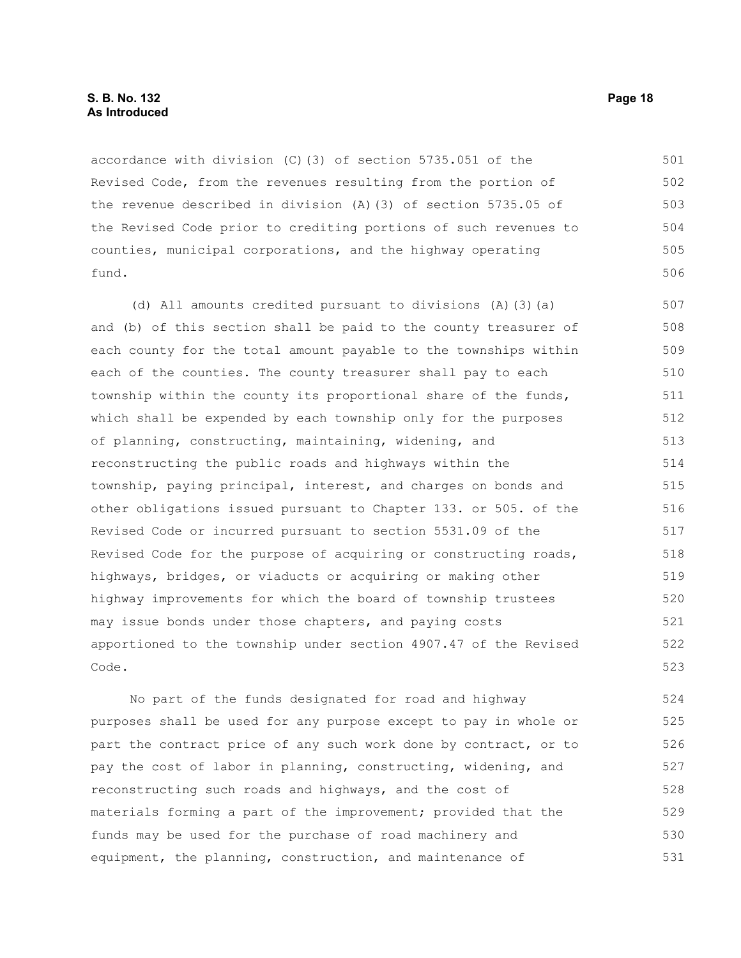accordance with division (C)(3) of section 5735.051 of the Revised Code, from the revenues resulting from the portion of the revenue described in division (A)(3) of section 5735.05 of the Revised Code prior to crediting portions of such revenues to counties, municipal corporations, and the highway operating fund. 501 502 503 504 505 506

(d) All amounts credited pursuant to divisions (A)(3)(a) and (b) of this section shall be paid to the county treasurer of each county for the total amount payable to the townships within each of the counties. The county treasurer shall pay to each township within the county its proportional share of the funds, which shall be expended by each township only for the purposes of planning, constructing, maintaining, widening, and reconstructing the public roads and highways within the township, paying principal, interest, and charges on bonds and other obligations issued pursuant to Chapter 133. or 505. of the Revised Code or incurred pursuant to section 5531.09 of the Revised Code for the purpose of acquiring or constructing roads, highways, bridges, or viaducts or acquiring or making other highway improvements for which the board of township trustees may issue bonds under those chapters, and paying costs apportioned to the township under section 4907.47 of the Revised Code. 507 508 509 510 511 512 513 514 515 516 517 518 519 520 521 522 523

No part of the funds designated for road and highway purposes shall be used for any purpose except to pay in whole or part the contract price of any such work done by contract, or to pay the cost of labor in planning, constructing, widening, and reconstructing such roads and highways, and the cost of materials forming a part of the improvement; provided that the funds may be used for the purchase of road machinery and equipment, the planning, construction, and maintenance of 524 525 526 527 528 529 530 531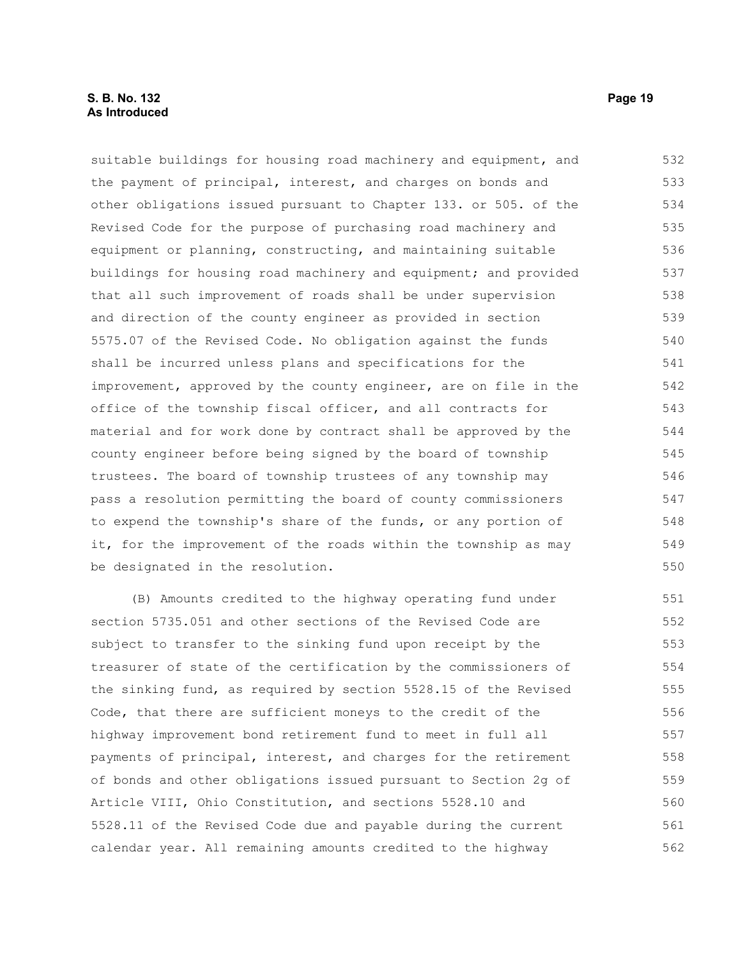#### **S. B. No. 132 Page 19 As Introduced**

suitable buildings for housing road machinery and equipment, and the payment of principal, interest, and charges on bonds and other obligations issued pursuant to Chapter 133. or 505. of the Revised Code for the purpose of purchasing road machinery and equipment or planning, constructing, and maintaining suitable buildings for housing road machinery and equipment; and provided that all such improvement of roads shall be under supervision and direction of the county engineer as provided in section 5575.07 of the Revised Code. No obligation against the funds shall be incurred unless plans and specifications for the improvement, approved by the county engineer, are on file in the office of the township fiscal officer, and all contracts for material and for work done by contract shall be approved by the county engineer before being signed by the board of township trustees. The board of township trustees of any township may pass a resolution permitting the board of county commissioners to expend the township's share of the funds, or any portion of it, for the improvement of the roads within the township as may be designated in the resolution. 532 533 534 535 536 537 538 539 540 541 542 543 544 545 546 547 548 549 550

(B) Amounts credited to the highway operating fund under section 5735.051 and other sections of the Revised Code are subject to transfer to the sinking fund upon receipt by the treasurer of state of the certification by the commissioners of the sinking fund, as required by section 5528.15 of the Revised Code, that there are sufficient moneys to the credit of the highway improvement bond retirement fund to meet in full all payments of principal, interest, and charges for the retirement of bonds and other obligations issued pursuant to Section 2g of Article VIII, Ohio Constitution, and sections 5528.10 and 5528.11 of the Revised Code due and payable during the current calendar year. All remaining amounts credited to the highway 551 552 553 554 555 556 557 558 559 560 561 562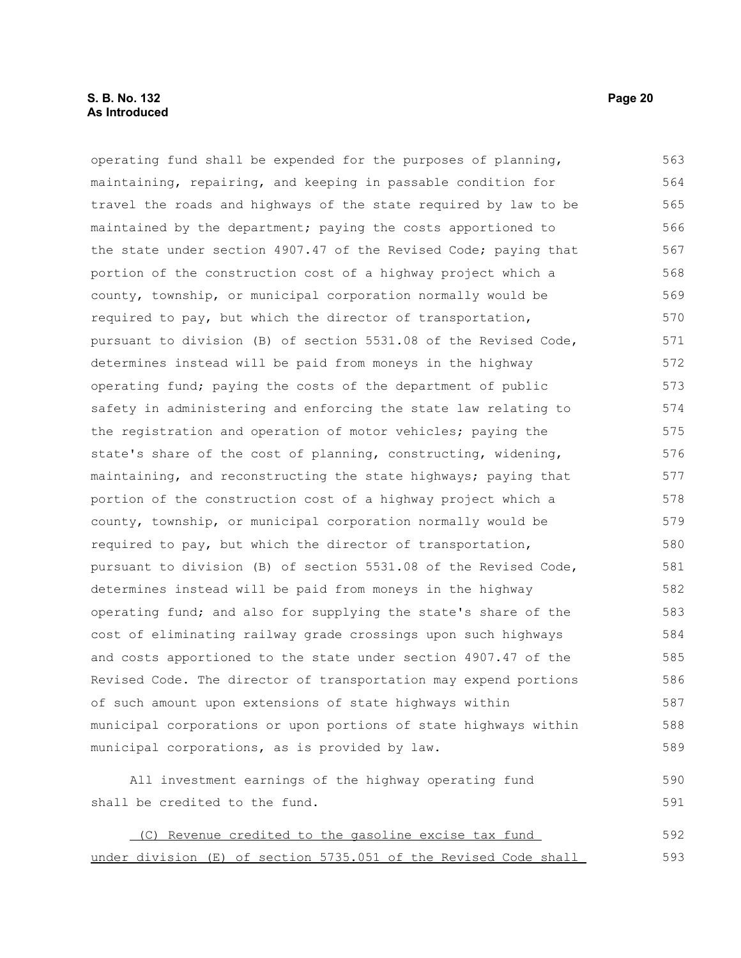#### **S. B. No. 132 Page 20 As Introduced**

operating fund shall be expended for the purposes of planning, maintaining, repairing, and keeping in passable condition for travel the roads and highways of the state required by law to be maintained by the department; paying the costs apportioned to the state under section 4907.47 of the Revised Code; paying that portion of the construction cost of a highway project which a county, township, or municipal corporation normally would be required to pay, but which the director of transportation, pursuant to division (B) of section 5531.08 of the Revised Code, determines instead will be paid from moneys in the highway operating fund; paying the costs of the department of public safety in administering and enforcing the state law relating to the registration and operation of motor vehicles; paying the state's share of the cost of planning, constructing, widening, maintaining, and reconstructing the state highways; paying that portion of the construction cost of a highway project which a county, township, or municipal corporation normally would be required to pay, but which the director of transportation, pursuant to division (B) of section 5531.08 of the Revised Code, determines instead will be paid from moneys in the highway operating fund; and also for supplying the state's share of the cost of eliminating railway grade crossings upon such highways and costs apportioned to the state under section 4907.47 of the Revised Code. The director of transportation may expend portions of such amount upon extensions of state highways within municipal corporations or upon portions of state highways within municipal corporations, as is provided by law. All investment earnings of the highway operating fund 563 564 565 566 567 568 569 570 571 572 573 574 575 576 577 578 579 580 581 582 583 584 585 586 587 588 589 590

 (C) Revenue credited to the gasoline excise tax fund under division (E) of section 5735.051 of the Revised Code shall 592 593

shall be credited to the fund.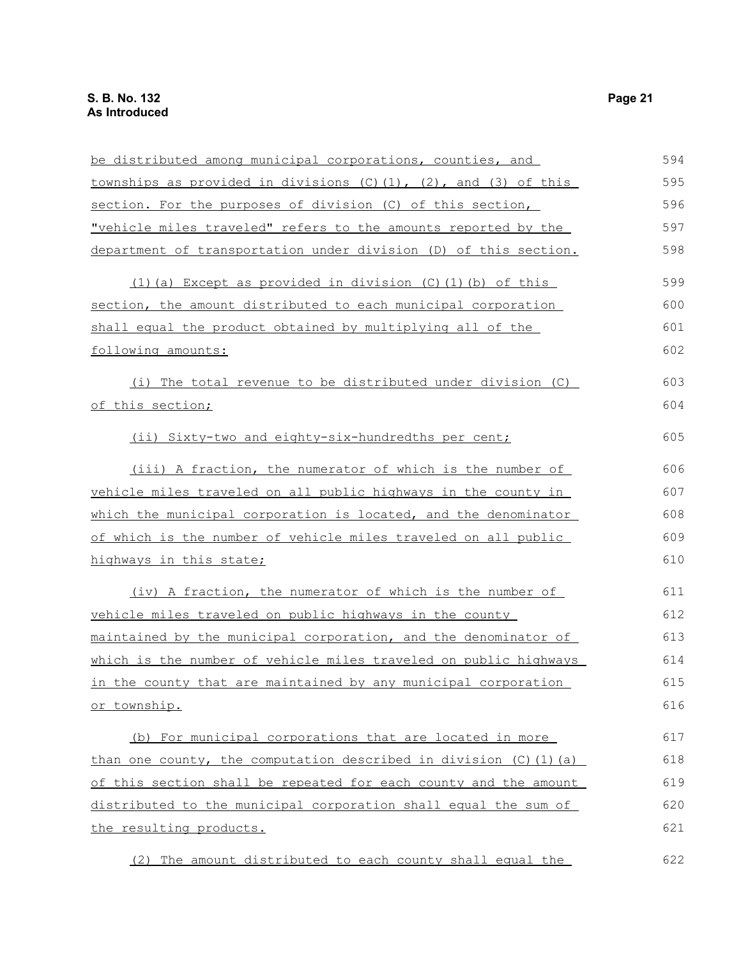| be distributed among municipal corporations, counties, and                 | 594 |
|----------------------------------------------------------------------------|-----|
| townships as provided in divisions $(C)$ $(1)$ , $(2)$ , and $(3)$ of this | 595 |
| section. For the purposes of division (C) of this section,                 | 596 |
| <u>"vehicle miles traveled" refers to the amounts reported by the</u>      | 597 |
| department of transportation under division (D) of this section.           | 598 |
| $(1)$ (a) Except as provided in division (C) (1) (b) of this               | 599 |
| section, the amount distributed to each municipal corporation              | 600 |
| shall equal the product obtained by multiplying all of the                 | 601 |
| following amounts:                                                         | 602 |
| (i) The total revenue to be distributed under division (C)                 | 603 |
| of this section;                                                           | 604 |
| (ii) Sixty-two and eighty-six-hundredths per cent;                         | 605 |
| (iii) A fraction, the numerator of which is the number of                  | 606 |
| vehicle miles traveled on all public highways in the county in             | 607 |
| which the municipal corporation is located, and the denominator            |     |
| of which is the number of vehicle miles traveled on all public             |     |
| highways in this state;                                                    | 610 |
| (iv) A fraction, the numerator of which is the number of                   | 611 |
| vehicle miles traveled on public highways in the county                    | 612 |
| maintained by the municipal corporation, and the denominator of            | 613 |
| which is the number of vehicle miles traveled on public highways           | 614 |
| in the county that are maintained by any municipal corporation             | 615 |
| or township.                                                               | 616 |
| (b) For municipal corporations that are located in more                    | 617 |
| than one county, the computation described in division $(C)$ (1) (a)       | 618 |
| of this section shall be repeated for each county and the amount           | 619 |
| distributed to the municipal corporation shall equal the sum of            | 620 |
| the resulting products.                                                    | 621 |
| (2) The amount distributed to each county shall equal the                  | 622 |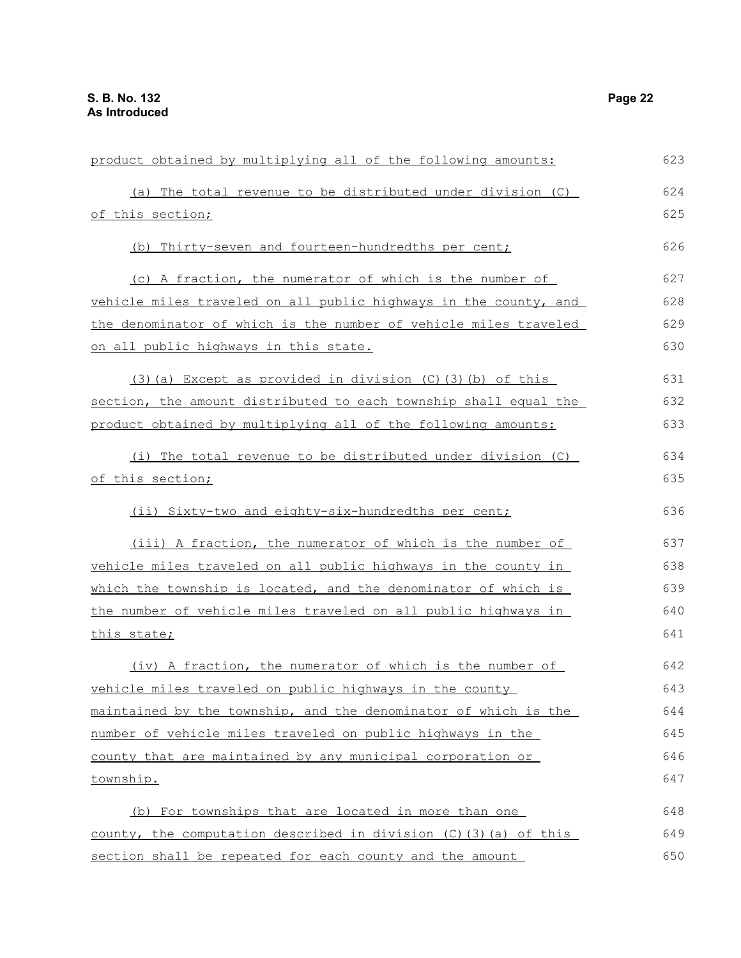| product obtained by multiplying all of the following amounts:     |     |
|-------------------------------------------------------------------|-----|
| (a) The total revenue to be distributed under division (C)        | 624 |
| of this section;                                                  |     |
| (b) Thirty-seven and fourteen-hundredths per cent;                | 626 |
| (c) A fraction, the numerator of which is the number of           | 627 |
| vehicle miles traveled on all public highways in the county, and  | 628 |
| the denominator of which is the number of vehicle miles traveled  | 629 |
| on all public highways in this state.                             | 630 |
| (3) (a) Except as provided in division (C) (3) (b) of this        | 631 |
| section, the amount distributed to each township shall equal the  | 632 |
| product obtained by multiplying all of the following amounts:     | 633 |
| (i) The total revenue to be distributed under division (C)        | 634 |
| of this section;                                                  | 635 |
| (ii) Sixty-two and eighty-six-hundredths per cent;                | 636 |
| (iii) A fraction, the numerator of which is the number of         | 637 |
| vehicle miles traveled on all public highways in the county in    | 638 |
| which the township is located, and the denominator of which is    | 639 |
| the number of vehicle miles traveled on all public highways in    | 640 |
| this state;                                                       | 641 |
| (iv) A fraction, the numerator of which is the number of          | 642 |
| vehicle miles traveled on public highways in the county           | 643 |
| maintained by the township, and the denominator of which is the   | 644 |
| number of vehicle miles traveled on public highways in the        | 645 |
| county that are maintained by any municipal corporation or        | 646 |
| township.                                                         | 647 |
| (b) For townships that are located in more than one               | 648 |
| county, the computation described in division (C) (3) (a) of this | 649 |
| section shall be repeated for each county and the amount          | 650 |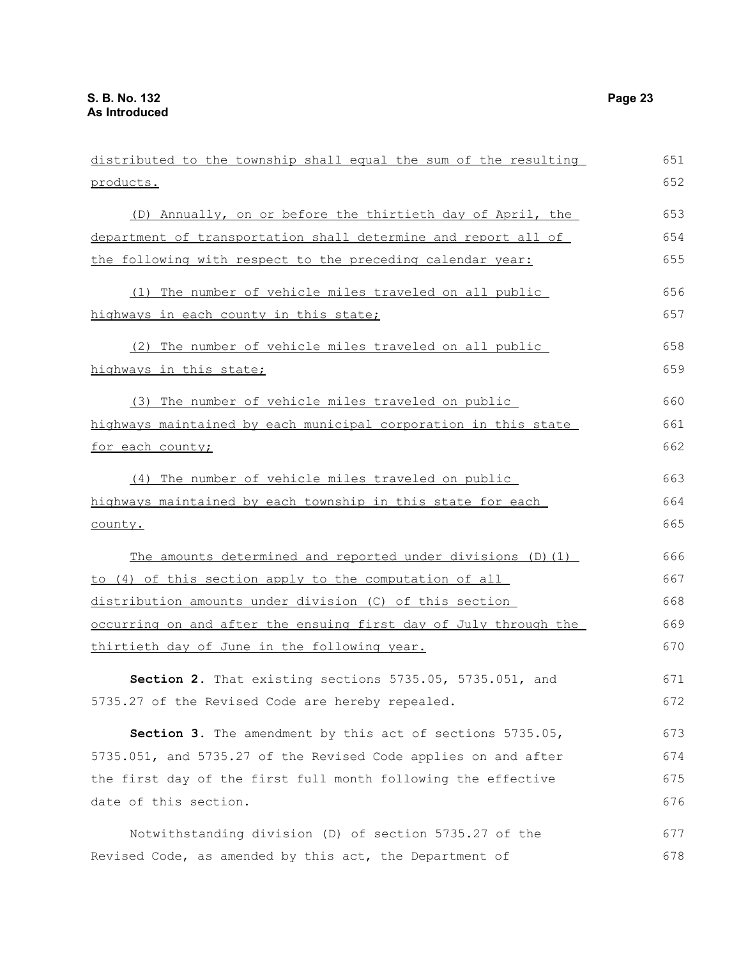| distributed to the township shall equal the sum of the resulting      |     |
|-----------------------------------------------------------------------|-----|
| products.                                                             |     |
| (D) Annually, on or before the thirtieth day of April, the            | 653 |
| <u>department of transportation shall determine and report all of</u> | 654 |
| the following with respect to the preceding calendar year:            |     |
| (1) The number of vehicle miles traveled on all public                | 656 |
| highways in each county in this state;                                | 657 |
| (2) The number of vehicle miles traveled on all public                | 658 |
| highways in this state;                                               | 659 |
| (3) The number of vehicle miles traveled on public                    | 660 |
| highways maintained by each municipal corporation in this state       | 661 |
| for each county;                                                      | 662 |
| (4) The number of vehicle miles traveled on public                    | 663 |
| highways maintained by each township in this state for each           | 664 |
| county.                                                               | 665 |
| The amounts determined and reported under divisions (D) (1)           | 666 |
| to (4) of this section apply to the computation of all                | 667 |
| distribution amounts under division (C) of this section               | 668 |
| occurring on and after the ensuing first day of July through the      | 669 |
| thirtieth day of June in the following year.                          | 670 |
| Section 2. That existing sections 5735.05, 5735.051, and              | 671 |
| 5735.27 of the Revised Code are hereby repealed.                      | 672 |
| Section 3. The amendment by this act of sections 5735.05,             | 673 |
| 5735.051, and 5735.27 of the Revised Code applies on and after        | 674 |
| the first day of the first full month following the effective         | 675 |
| date of this section.                                                 |     |
| Notwithstanding division (D) of section 5735.27 of the                | 677 |
| Revised Code, as amended by this act, the Department of               | 678 |